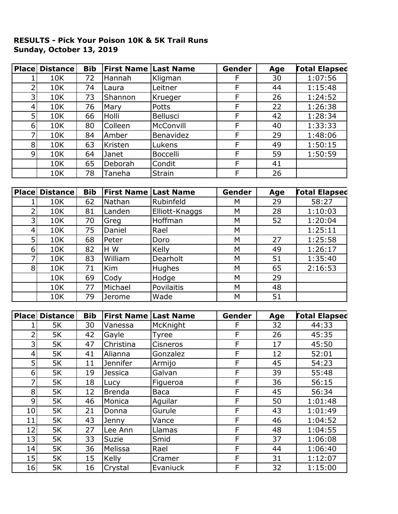## **RESULTS - Pick Your Poison 10K & 5K Trail Runs Sunday, October 13, 2019**

| <b>Place</b>    | <b>Distance</b> | <b>Bib</b> | <b>First Name Last Name</b> |               | Gender | Age | <b>Total Elapsed</b> |
|-----------------|-----------------|------------|-----------------------------|---------------|--------|-----|----------------------|
|                 | 10K             | 72         | Hannah                      | Kligman       | F      | 30  | 1:07:56              |
|                 | 10K             | 74         | Laura                       | Leitner       | F      | 44  | 1:15:48              |
| 3               | 10K             | 73         | Shannon                     | Krueger       | F      | 26  | 1:24:52              |
| $\vert 4 \vert$ | 10K             | 76         | <b>Mary</b>                 | <b>Potts</b>  | F      | 22  | 1:26:38              |
| 5 <sup>1</sup>  | 10K             | 66         | Holli                       | Bellusci      | F      | 42  | 1:28:34              |
| $6 \mid$        | 10K             | 80         | Colleen                     | McConvill     | F      | 40  | 1:33:33              |
| 7               | 10K             | 84         | Amber                       | Benavidez     | F      | 29  | 1:48:06              |
| 8 <sup>1</sup>  | 10K             | 63         | Kristen                     | Lukens        | F      | 49  | 1:50:15              |
| $\overline{9}$  | <b>10K</b>      | 64         | Janet                       | Boccelli      | F      | 59  | 1:50:59              |
|                 | 10K             | 65         | Deborah                     | Condit        | F      | 41  |                      |
|                 | 10K             | 78         | Taneha                      | <b>Strain</b> | F      | 26  |                      |

|   | <b>Place Distance</b> | <b>Bib</b> | <b>First Name   Last Name</b> |                | Gender | Age | <b>Fotal Elapsed</b> |
|---|-----------------------|------------|-------------------------------|----------------|--------|-----|----------------------|
|   | 10K                   | 62         | Nathan                        | Rubinfeld      | М      | 29  | 58:27                |
|   | 10K                   | 81         | Landen                        | Elliott-Knaggs | M      | 28  | 1:10:03              |
|   | 10K                   | 70         | Greg                          | Hoffman        | M      | 52  | 1:20:04              |
| 4 | 10K                   | 75         | Daniel                        | Rael           | M      |     | 1:25:11              |
| 5 | 10K                   | 68         | Peter                         | Doro           | M      | 27  | 1:25:58              |
| 6 | 10K                   | 82         | H W                           | Kelly          | M      | 49  | 1:26:17              |
|   | 10K                   | 83         | William                       | Dearholt       | M      | 51  | 1:35:40              |
| 8 | 10K                   | 71         | <b>Kim</b>                    | Hughes         | M      | 65  | 2:16:53              |
|   | 10K                   | 69         | Cody                          | Hodge          | M      | 29  |                      |
|   | 10K                   | 77         | Michael                       | Povilaitis     | M      | 48  |                      |
|   | 10K                   | 79         | Jerome                        | Wade           | М      | 51  |                      |

| <b>Place</b>     | <b>Distance</b> | <b>Bib</b> | <b>First Name</b> | Last Name       | Gender | Age | <b>Total Elapsed</b> |
|------------------|-----------------|------------|-------------------|-----------------|--------|-----|----------------------|
|                  | 5K              | 30         | Vanessa           | McKnight        | F      | 32  | 44:33                |
| 2                | 5K              | 42         | Gayle             | <b>Tyree</b>    | F      | 26  | 45:35                |
| 3                | 5K              | 47         | Christina         | <b>Cisneros</b> | F      | 17  | 45:50                |
| 4                | 5K              | 41         | Alianna           | Gonzalez        | F      | 12  | 52:01                |
| 5                | 5K              | 11         | <b>Jennifer</b>   | Armijo          | F      | 45  | 54:23                |
| $6 \overline{6}$ | 5K              | 19         | <b>Jessica</b>    | Galvan          | F      | 39  | 55:48                |
| 7                | 5K              | 18         | Lucy              | Figueroa        | F      | 36  | 56:15                |
| 8                | 5K              | 12         | <b>Brenda</b>     | Baca            | F      | 45  | 56:34                |
| 9                | 5K              | 46         | Monica            | Aguilar         | F      | 50  | 1:01:48              |
| 10               | 5K              | 21         | Donna             | Gurule          | F      | 43  | 1:01:49              |
| 11               | 5K              | 43         | Jenny             | Vance           | F      | 46  | 1:04:52              |
| 12               | 5K              | 27         | Lee Ann           | Llamas          | F      | 48  | 1:04:55              |
| 13               | 5K              | 33         | Suzie             | Smid            | F      | 37  | 1:06:08              |
| 14               | 5K              | 36         | Melissa           | Rael            | F      | 44  | 1:06:40              |
| 15               | 5K              | 15         | Kelly             | Cramer          | F      | 31  | 1:12:07              |
| 16               | 5K              | 16         | Crystal           | Evaniuck        | F      | 32  | 1:15:00              |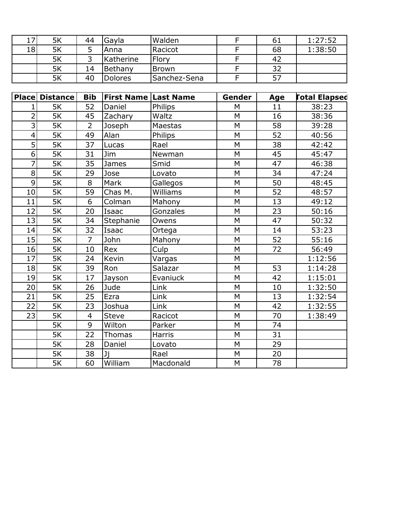| 17' | 5K | 44 | Gayla          | Walden       | σT | 1:27:52 |
|-----|----|----|----------------|--------------|----|---------|
| 18  | 5K |    | Anna           | Racicot      | 68 | 1:38:50 |
|     | 5K |    | Katherine      | Flory        | 42 |         |
|     | 5K | 14 | Bethany        | Brown        | 32 |         |
|     | 5K | 40 | <b>Dolores</b> | Sanchez-Sena |    |         |

|                | <b>Place Distance</b> | <b>Bib</b>     | <b>First Name Last Name</b> |           | Gender    | Age             | <b>Total Elapsed</b> |
|----------------|-----------------------|----------------|-----------------------------|-----------|-----------|-----------------|----------------------|
| 1              | 5K                    | 52             | Daniel                      | Philips   | M         | 11              | 38:23                |
| $\overline{2}$ | 5K                    | 45             | Zachary                     | Waltz     | M         | 16              | 38:36                |
| 3              | 5K                    | $\overline{2}$ | Joseph                      | Maestas   | ${\sf M}$ | 58              | 39:28                |
| $\overline{4}$ | 5K                    | 49             | Alan                        | Philips   | M         | $\overline{52}$ | 40:56                |
| 5              | 5K                    | 37             | Lucas                       | Rael      | M         | 38              | 42:42                |
| 6              | 5K                    | 31             | Jim                         | Newman    | M         | 45              | 45:47                |
| 7              | 5K                    | 35             | James                       | Smid      | M         | 47              | 46:38                |
| 8              | 5K                    | 29             | Jose                        | Lovato    | M         | 34              | 47:24                |
| 9              | 5K                    | 8              | Mark                        | Gallegos  | M         | 50              | 48:45                |
| 10             | 5K                    | 59             | Chas M.                     | Williams  | M         | 52              | 48:57                |
| 11             | 5K                    | 6              | Colman                      | Mahony    | M         | 13              | 49:12                |
| 12             | 5K                    | 20             | Isaac                       | Gonzales  | M         | 23              | 50:16                |
| 13             | 5K                    | 34             | Stephanie                   | Owens     | M         | 47              | 50:32                |
| 14             | 5K                    | 32             | Isaac                       | Ortega    | M         | 14              | 53:23                |
| 15             | 5K                    | $\overline{7}$ | John                        | Mahony    | M         | 52              | 55:16                |
| 16             | 5K                    | 10             | Rex                         | Culp      | M         | 72              | 56:49                |
| 17             | 5K                    | 24             | Kevin                       | Vargas    | M         |                 | 1:12:56              |
| 18             | 5K                    | 39             | Ron                         | Salazar   | M         | 53              | 1:14:28              |
| 19             | 5K                    | 17             | Jayson                      | Evaniuck  | M         | 42              | 1:15:01              |
| 20             | 5K                    | 26             | Jude                        | Link      | M         | 10              | 1:32:50              |
| 21             | 5K                    | 25             | Ezra                        | Link      | M         | 13              | 1:32:54              |
| 22             | 5K                    | 23             | Joshua                      | Link      | M         | 42              | 1:32:55              |
| 23             | 5K                    | $\overline{4}$ | <b>Steve</b>                | Racicot   | M         | 70              | 1:38:49              |
|                | 5K                    | 9              | Wilton                      | Parker    | M         | 74              |                      |
|                | 5K                    | 22             | <b>Thomas</b>               | Harris    | M         | 31              |                      |
|                | 5K                    | 28             | Daniel                      | Lovato    | M         | 29              |                      |
|                | 5K                    | 38             | Ji                          | Rael      | M         | 20              |                      |
|                | 5K                    | 60             | William                     | Macdonald | M         | 78              |                      |